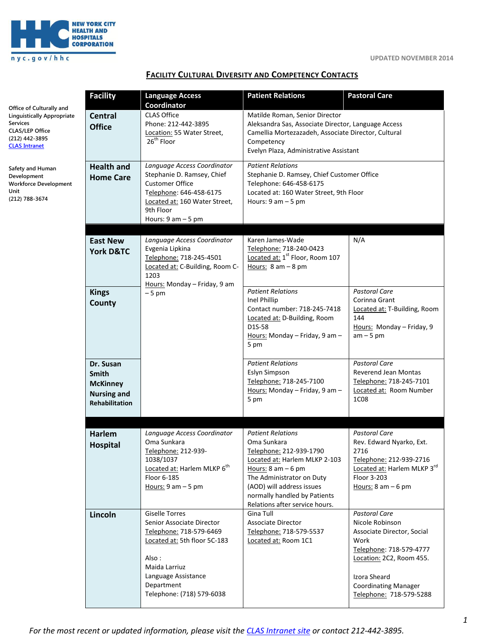

# **FACILITY CULTURAL DIVERSITY AND COMPETENCY CONTACTS**

|                                                                                                                                                      | <b>Facility</b>                                                                             | <b>Language Access</b>                                                                                                                                                                                    | <b>Patient Relations</b>                                                                                                                                                                                                     | <b>Pastoral Care</b>                                                                                                                                                                                           |
|------------------------------------------------------------------------------------------------------------------------------------------------------|---------------------------------------------------------------------------------------------|-----------------------------------------------------------------------------------------------------------------------------------------------------------------------------------------------------------|------------------------------------------------------------------------------------------------------------------------------------------------------------------------------------------------------------------------------|----------------------------------------------------------------------------------------------------------------------------------------------------------------------------------------------------------------|
| Office of Culturally and<br><b>Linguistically Appropriate</b><br><b>Services</b><br><b>CLAS/LEP Office</b><br>(212) 442-3895<br><b>CLAS Intranet</b> | <b>Central</b><br><b>Office</b>                                                             | Coordinator<br><b>CLAS Office</b><br>Phone: 212-442-3895<br>Location: 55 Water Street,<br>26 <sup>th</sup> Floor                                                                                          | Matilde Roman, Senior Director<br>Aleksandra Sas, Associate Director, Language Access<br>Camellia Mortezazadeh, Associate Director, Cultural<br>Competency<br>Evelyn Plaza, Administrative Assistant                         |                                                                                                                                                                                                                |
| Safety and Human<br>Development<br><b>Workforce Development</b><br>Unit<br>(212) 788-3674                                                            | <b>Health and</b><br><b>Home Care</b>                                                       | Language Access Coordinator<br>Stephanie D. Ramsey, Chief<br><b>Customer Office</b><br>Telephone: 646-458-6175<br>Located at: 160 Water Street,<br>9th Floor<br>Hours: $9$ am $-5$ pm                     | <b>Patient Relations</b><br>Stephanie D. Ramsey, Chief Customer Office<br>Telephone: 646-458-6175<br>Located at: 160 Water Street, 9th Floor<br>Hours: $9$ am $-5$ pm                                                        |                                                                                                                                                                                                                |
|                                                                                                                                                      | <b>East New</b><br><b>York D&amp;TC</b>                                                     | Language Access Coordinator<br>Evgenia Lipkina<br>Telephone: 718-245-4501<br>Located at: C-Building, Room C-<br>1203<br>Hours: Monday - Friday, 9 am                                                      | Karen James-Wade<br>Telephone: 718-240-0423<br>Located at: 1 <sup>st</sup> Floor, Room 107<br>Hours: $8 \text{ am} - 8 \text{ pm}$                                                                                           | N/A                                                                                                                                                                                                            |
|                                                                                                                                                      | <b>Kings</b><br>County                                                                      | $-5$ pm                                                                                                                                                                                                   | <b>Patient Relations</b><br>Inel Phillip<br>Contact number: 718-245-7418<br>Located at: D-Building, Room<br>D1S-58<br>Hours: Monday - Friday, 9 am -<br>5 pm                                                                 | <b>Pastoral Care</b><br>Corinna Grant<br>Located at: T-Building, Room<br>144<br>Hours: Monday - Friday, 9<br>$am - 5 pm$                                                                                       |
|                                                                                                                                                      | Dr. Susan<br><b>Smith</b><br><b>McKinney</b><br><b>Nursing and</b><br><b>Rehabilitation</b> |                                                                                                                                                                                                           | <b>Patient Relations</b><br>Eslyn Simpson<br>Telephone: 718-245-7100<br>Hours: Monday - Friday, 9 am -<br>5 pm                                                                                                               | <b>Pastoral Care</b><br>Reverend Jean Montas<br>Telephone: 718-245-7101<br>Located at: Room Number<br><b>1C08</b>                                                                                              |
|                                                                                                                                                      | Harlem                                                                                      | Language Access Coordinator                                                                                                                                                                               | <b>Patient Relations</b>                                                                                                                                                                                                     | <b>Pastoral Care</b>                                                                                                                                                                                           |
|                                                                                                                                                      | <b>Hospital</b>                                                                             | Oma Sunkara<br>Telephone: 212-939-<br>1038/1037<br>Located at: Harlem MLKP 6 <sup>th</sup><br>Floor 6-185<br>Hours: $9$ am $-5$ pm                                                                        | Oma Sunkara<br>Telephone: 212-939-1790<br>Located at: Harlem MLKP 2-103<br>Hours: $8$ am $-6$ pm<br>The Administrator on Duty<br>(AOD) will address issues<br>normally handled by Patients<br>Relations after service hours. | Rev. Edward Nyarko, Ext.<br>2716<br>Telephone: 212-939-2716<br>Located at: Harlem MLKP 3rd<br>Floor 3-203<br>Hours: $8 \text{ am} - 6 \text{ pm}$                                                              |
|                                                                                                                                                      | Lincoln                                                                                     | <b>Giselle Torres</b><br>Senior Associate Director<br>Telephone: 718-579-6469<br>Located at: 5th floor 5C-183<br>Also:<br>Maida Larriuz<br>Language Assistance<br>Department<br>Telephone: (718) 579-6038 | Gina Tull<br>Associate Director<br>Telephone: 718-579-5537<br>Located at: Room 1C1                                                                                                                                           | <b>Pastoral Care</b><br>Nicole Robinson<br>Associate Director, Social<br>Work<br>Telephone: 718-579-4777<br>Location: 2C2, Room 455.<br>Izora Sheard<br><b>Coordinating Manager</b><br>Telephone: 718-579-5288 |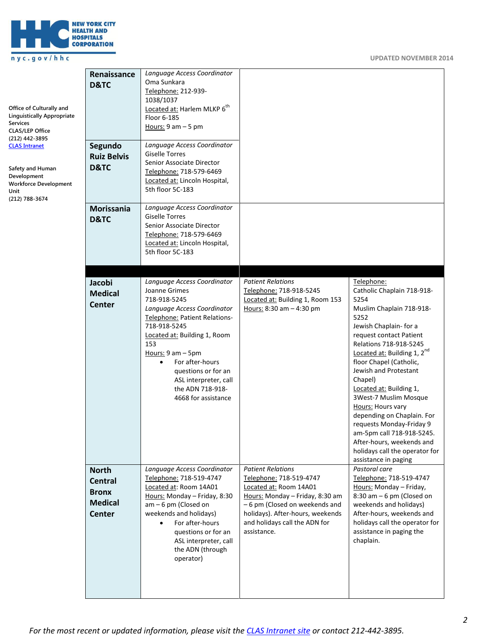

# nyc.gov/hhc

| Office of Culturally and<br><b>Linguistically Appropriate</b><br><b>Services</b><br><b>CLAS/LEP Office</b><br>(212) 442-3895<br><b>CLAS Intranet</b><br>Safety and Human<br>Development<br><b>Workforce Development</b><br>Unit<br>(212) 788-3674 | Renaissance<br>D&TC<br>Segundo<br><b>Ruiz Belvis</b><br>D&TC<br>Morissania<br>D&TC | Language Access Coordinator<br>Oma Sunkara<br>Telephone: 212-939-<br>1038/1037<br>Located at: Harlem MLKP 6 <sup>th</sup><br>Floor 6-185<br>Hours: $9$ am $-5$ pm<br>Language Access Coordinator<br><b>Giselle Torres</b><br>Senior Associate Director<br>Telephone: 718-579-6469<br>Located at: Lincoln Hospital,<br>5th floor 5C-183<br>Language Access Coordinator<br><b>Giselle Torres</b><br>Senior Associate Director<br>Telephone: 718-579-6469<br>Located at: Lincoln Hospital,<br>5th floor 5C-183 |                                                                                                                                                                                                                                       |                                                                                                                                                                                                                                                                                                                                                                                                                                                                                                                               |
|---------------------------------------------------------------------------------------------------------------------------------------------------------------------------------------------------------------------------------------------------|------------------------------------------------------------------------------------|-------------------------------------------------------------------------------------------------------------------------------------------------------------------------------------------------------------------------------------------------------------------------------------------------------------------------------------------------------------------------------------------------------------------------------------------------------------------------------------------------------------|---------------------------------------------------------------------------------------------------------------------------------------------------------------------------------------------------------------------------------------|-------------------------------------------------------------------------------------------------------------------------------------------------------------------------------------------------------------------------------------------------------------------------------------------------------------------------------------------------------------------------------------------------------------------------------------------------------------------------------------------------------------------------------|
|                                                                                                                                                                                                                                                   | Jacobi<br><b>Medical</b><br><b>Center</b>                                          | Language Access Coordinator<br>Joanne Grimes<br>718-918-5245<br>Language Access Coordinator<br><b>Telephone: Patient Relations-</b><br>718-918-5245<br>Located at: Building 1, Room<br>153<br>Hours: $9$ am $-$ 5pm<br>For after-hours<br>$\bullet$<br>questions or for an<br>ASL interpreter, call<br>the ADN 718-918-<br>4668 for assistance                                                                                                                                                              | <b>Patient Relations</b><br>Telephone: 718-918-5245<br>Located at: Building 1, Room 153<br>Hours: $8:30$ am $- 4:30$ pm                                                                                                               | Telephone:<br>Catholic Chaplain 718-918-<br>5254<br>Muslim Chaplain 718-918-<br>5252<br>Jewish Chaplain- for a<br>request contact Patient<br>Relations 718-918-5245<br>Located at: Building 1, $2^{nd}$<br>floor Chapel (Catholic,<br>Jewish and Protestant<br>Chapel)<br>Located at: Building 1,<br>3West-7 Muslim Mosque<br>Hours: Hours vary<br>depending on Chaplain. For<br>requests Monday-Friday 9<br>am-5pm call 718-918-5245.<br>After-hours, weekends and<br>holidays call the operator for<br>assistance in paging |
|                                                                                                                                                                                                                                                   | <b>North</b><br><b>Central</b><br><b>Bronx</b><br><b>Medical</b><br><b>Center</b>  | Language Access Coordinator<br>Telephone: 718-519-4747<br>Located at: Room 14A01<br>Hours: Monday - Friday, 8:30<br>$am - 6$ pm (Closed on<br>weekends and holidays)<br>For after-hours<br>$\bullet$<br>questions or for an<br>ASL interpreter, call<br>the ADN (through<br>operator)                                                                                                                                                                                                                       | <b>Patient Relations</b><br>Telephone: 718-519-4747<br>Located at: Room 14A01<br>Hours: Monday - Friday, 8:30 am<br>-6 pm (Closed on weekends and<br>holidays). After-hours, weekends<br>and holidays call the ADN for<br>assistance. | Pastoral care<br>Telephone: 718-519-4747<br>Hours: Monday - Friday,<br>$8:30$ am $-6$ pm (Closed on<br>weekends and holidays)<br>After-hours, weekends and<br>holidays call the operator for<br>assistance in paging the<br>chaplain.                                                                                                                                                                                                                                                                                         |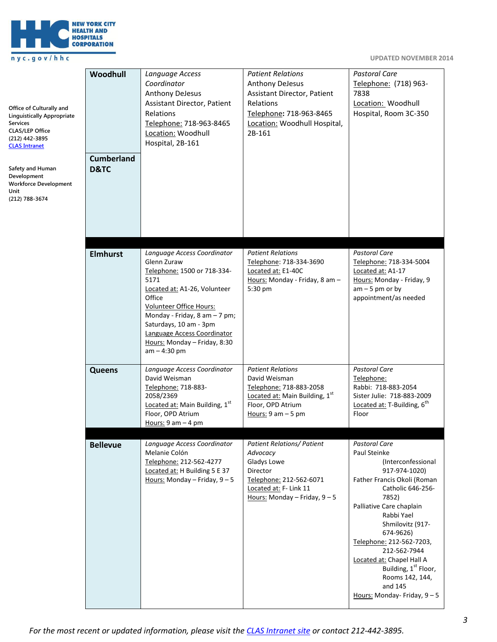

## nyc.gov/hhc

| Office of Culturally and<br><b>Linguistically Appropriate</b><br><b>Services</b><br><b>CLAS/LEP Office</b><br>(212) 442-3895<br><b>CLAS Intranet</b> | Woodhull<br><b>Cumberland</b> | Language Access<br>Coordinator<br><b>Anthony DeJesus</b><br>Assistant Director, Patient<br>Relations<br>Telephone: 718-963-8465<br>Location: Woodhull<br>Hospital, 2B-161                                                                                                                          | <b>Patient Relations</b><br><b>Anthony DeJesus</b><br>Assistant Director, Patient<br>Relations<br>Telephone: 718-963-8465<br>Location: Woodhull Hospital,<br>2B-161 | <b>Pastoral Care</b><br>Telephone: (718) 963-<br>7838<br>Location: Woodhull<br>Hospital, Room 3C-350                                                                                                                                                                                                                                                                                  |
|------------------------------------------------------------------------------------------------------------------------------------------------------|-------------------------------|----------------------------------------------------------------------------------------------------------------------------------------------------------------------------------------------------------------------------------------------------------------------------------------------------|---------------------------------------------------------------------------------------------------------------------------------------------------------------------|---------------------------------------------------------------------------------------------------------------------------------------------------------------------------------------------------------------------------------------------------------------------------------------------------------------------------------------------------------------------------------------|
| Safety and Human<br>Development<br><b>Workforce Development</b><br>Unit<br>(212) 788-3674                                                            | D&TC                          |                                                                                                                                                                                                                                                                                                    |                                                                                                                                                                     |                                                                                                                                                                                                                                                                                                                                                                                       |
|                                                                                                                                                      | <b>Elmhurst</b>               | Language Access Coordinator<br>Glenn Zuraw<br>Telephone: 1500 or 718-334-<br>5171<br>Located at: A1-26, Volunteer<br>Office<br>Volunteer Office Hours:<br>Monday - Friday, 8 am - 7 pm;<br>Saturdays, 10 am - 3pm<br>Language Access Coordinator<br>Hours: Monday - Friday, 8:30<br>$am - 4:30 pm$ | <b>Patient Relations</b><br>Telephone: 718-334-3690<br>Located at: E1-40C<br>Hours: Monday - Friday, 8 am -<br>5:30 pm                                              | <b>Pastoral Care</b><br>Telephone: 718-334-5004<br>Located at: A1-17<br>Hours: Monday - Friday, 9<br>$am - 5$ pm or by<br>appointment/as needed                                                                                                                                                                                                                                       |
|                                                                                                                                                      | <b>Queens</b>                 | Language Access Coordinator<br>David Weisman<br>Telephone: 718-883-<br>2058/2369<br>Located at: Main Building, 1st<br>Floor, OPD Atrium<br>Hours: $9$ am $-$ 4 pm                                                                                                                                  | <b>Patient Relations</b><br>David Weisman<br>Telephone: 718-883-2058<br>Located at: Main Building, 1st<br>Floor, OPD Atrium<br>Hours: $9$ am $-5$ pm                | <b>Pastoral Care</b><br>Telephone:<br>Rabbi: 718-883-2054<br>Sister Julie: 718-883-2009<br>Located at: T-Building, 6 <sup>th</sup><br>Floor                                                                                                                                                                                                                                           |
|                                                                                                                                                      | <b>Bellevue</b>               | Language Access Coordinator<br>Melanie Colón<br>Telephone: 212-562-4277<br>Located at: H Building 5 E 37<br>Hours: Monday - Friday, $9 - 5$                                                                                                                                                        | <b>Patient Relations/ Patient</b><br>Advocacy<br>Gladys Lowe<br>Director<br>Telephone: 212-562-6071<br>Located at: F- Link 11<br>Hours: Monday - Friday, 9 - 5      | Pastoral Care<br>Paul Steinke<br>(Interconfessional<br>917-974-1020)<br>Father Francis Okoli (Roman<br>Catholic 646-256-<br>7852)<br>Palliative Care chaplain<br>Rabbi Yael<br>Shmilovitz (917-<br>674-9626)<br>Telephone: 212-562-7203,<br>212-562-7944<br>Located at: Chapel Hall A<br>Building, 1 <sup>st</sup> Floor,<br>Rooms 142, 144,<br>and 145<br>Hours: Monday- Friday, 9-5 |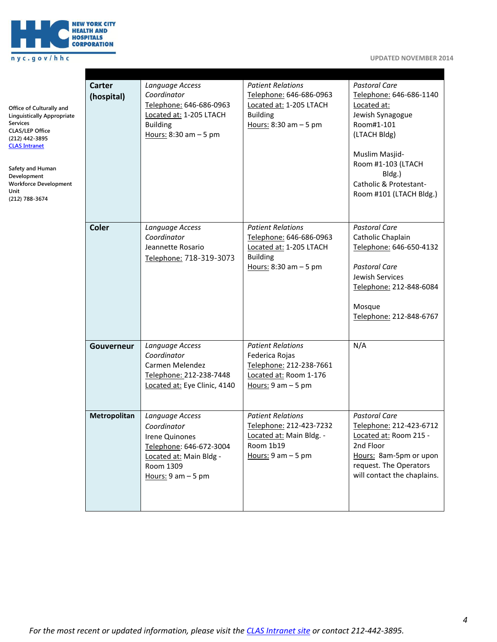

| Office of Culturally and<br><b>Linguistically Appropriate</b><br><b>Services</b><br><b>CLAS/LEP Office</b><br>(212) 442-3895<br><b>CLAS Intranet</b><br>Safety and Human<br>Development<br><b>Workforce Development</b><br>Unit<br>(212) 788-3674 | Carter<br>(hospital) | Language Access<br>Coordinator<br>Telephone: 646-686-0963<br>Located at: 1-205 LTACH<br><b>Building</b><br>Hours: $8:30$ am $-5$ pm          | <b>Patient Relations</b><br>Telephone: 646-686-0963<br>Located at: 1-205 LTACH<br><b>Building</b><br>Hours: 8:30 am - 5 pm | <b>Pastoral Care</b><br>Telephone: 646-686-1140<br>Located at:<br>Jewish Synagogue<br>Room#1-101<br>(LTACH Bldg)<br>Muslim Masjid-<br>Room #1-103 (LTACH<br>Bldg.)<br>Catholic & Protestant-<br>Room #101 (LTACH Bldg.) |
|---------------------------------------------------------------------------------------------------------------------------------------------------------------------------------------------------------------------------------------------------|----------------------|----------------------------------------------------------------------------------------------------------------------------------------------|----------------------------------------------------------------------------------------------------------------------------|-------------------------------------------------------------------------------------------------------------------------------------------------------------------------------------------------------------------------|
|                                                                                                                                                                                                                                                   | <b>Coler</b>         | Language Access<br>Coordinator<br>Jeannette Rosario<br>Telephone: 718-319-3073                                                               | <b>Patient Relations</b><br>Telephone: 646-686-0963<br>Located at: 1-205 LTACH<br><b>Building</b><br>Hours: 8:30 am - 5 pm | <b>Pastoral Care</b><br>Catholic Chaplain<br>Telephone: 646-650-4132<br><b>Pastoral Care</b><br>Jewish Services<br>Telephone: 212-848-6084<br>Mosque<br>Telephone: 212-848-6767                                         |
|                                                                                                                                                                                                                                                   | Gouverneur           | Language Access<br>Coordinator<br>Carmen Melendez<br>Telephone: 212-238-7448<br>Located at: Eye Clinic, 4140                                 | <b>Patient Relations</b><br>Federica Rojas<br>Telephone: 212-238-7661<br>Located at: Room 1-176<br>Hours: $9$ am $-5$ pm   | N/A                                                                                                                                                                                                                     |
|                                                                                                                                                                                                                                                   | Metropolitan         | Language Access<br>Coordinator<br>Irene Quinones<br>Telephone: 646-672-3004<br>Located at: Main Bldg -<br>Room 1309<br>Hours: $9$ am $-5$ pm | <b>Patient Relations</b><br>Telephone: 212-423-7232<br>Located at: Main Bldg. -<br>Room 1b19<br>Hours: $9$ am $-5$ pm      | <b>Pastoral Care</b><br>Telephone: 212-423-6712<br>Located at: Room 215 -<br>2nd Floor<br>Hours: 8am-5pm or upon<br>request. The Operators<br>will contact the chaplains.                                               |